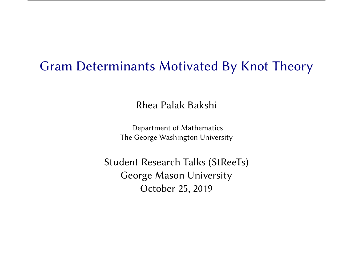### Gram Determinants Motivated By Knot Theory

Rhea Palak Bakshi

Department of Mathematics The George Washington University

Student Research Talks (StReeTs) George Mason University October 25, 2019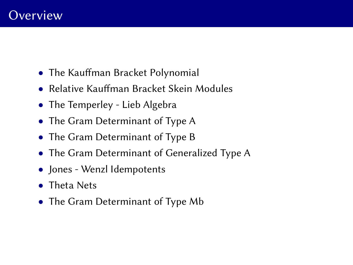- The Kauffman Bracket Polynomial
- Relative Kauffman Bracket Skein Modules
- The Temperley Lieb Algebra
- The Gram Determinant of Type A
- The Gram Determinant of Type B
- The Gram Determinant of Generalized Type A
- Jones Wenzl Idempotents
- Theta Nets
- The Gram Determinant of Type Mb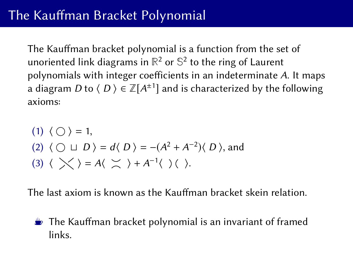The Kauffman bracket polynomial is a function from the set of unoriented link diagrams in **R** <sup>2</sup> or **S** 2 to the ring of Laurent polynomials with integer coefficients in an indeterminate A. It maps a diagram  $D$  to  $\langle D \rangle \in \mathbb{Z}[A^{\pm 1}]$  and is characterized by the following axioms:

(1) 
$$
\langle \bigcirc \rangle = 1
$$
,  
\n(2)  $\langle \bigcirc \sqcup D \rangle = d \langle D \rangle = -(A^2 + A^{-2}) \langle D \rangle$ , and  
\n(3)  $\langle \bigtimes \rangle = A \langle \bigtimes \rangle + A^{-1} \langle \bigcirc \rangle$ .

The last axiom is known as the Kauffman bracket skein relation.

 $\triangleq$  The Kauffman bracket polynomial is an invariant of framed links.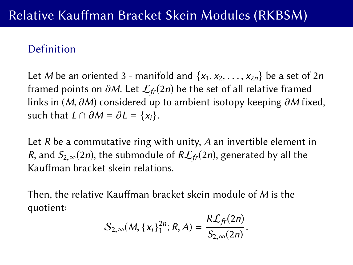### Definition

Let M be an oriented 3 - manifold and  $\{x_1, x_2, \ldots, x_{2n}\}$  be a set of 2*n* framed points on  $\partial M$ . Let  $\mathcal{L}_{fr}(2n)$  be the set of all relative framed links in  $(M, \partial M)$  considered up to ambient isotopy keeping  $\partial M$  fixed, such that  $L \cap \partial M = \partial L = \{x_i\}$ .

Let R be a commutative ring with unity, A an invertible element in R, and  $S_{2,\infty}(2n)$ , the submodule of  $R\mathcal{L}_{fr}(2n)$ , generated by all the Kauffman bracket skein relations.

Then, the relative Kauffman bracket skein module of  $M$  is the quotient:

$$
S_{2,\infty}(M, \{x_i\}_1^{2n}; R, A) = \frac{R\mathcal{L}_{fr}(2n)}{S_{2,\infty}(2n)}.
$$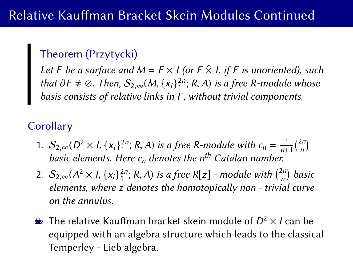### Theorem (Przytycki)

Let F be a surface and  $M = F \times I$  (or  $F \times I$ , if F is unoriented), such that  $\partial F \neq \emptyset$ . Then,  $S_{2,\infty}(M, \{x_i\}_{1}^{2n}; R, A)$  is a free R-module whose<br>basis consists of relative links in E, without trivial components basis consists of relative links in F, without trivial components.

## **Corollary**

- 1.  $S_{2,\infty}(D^2 \times I, \{x_i\}_1^{2n}; R, A)$  is a free R-module with  $c_n = \frac{1}{n+1} {2n \choose n}$ <br>basic elements. Here c, denotes the n<sup>th</sup> Catalan number  $\binom{2n}{n}$ basic elements. Here  $c_n$  denotes the n<sup>th</sup> Catalan number.
- 2.  $S_{2,\infty}(A^2 \times I, \{x_i\}_1^{2n}; R, A)$  is a free R[z] module with  $\binom{2n}{n}$ <br>elements where z denotes the homotopically non-trivia  $\binom{2n}{n}$  basic elements, where z denotes the homotopically non - trivial curve on the annulus.
- **E** The relative Kauffman bracket skein module of  $D^2 \times I$  can be equipped with an algebra structure which leads to the classical Temperley - Lieb algebra.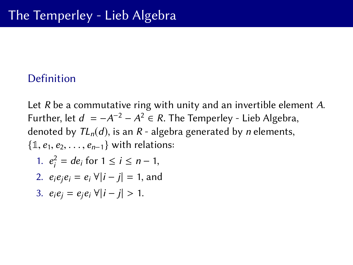#### Definition

Let R be a commutative ring with unity and an invertible element A. Further, let  $d = -A^{-2} - A^2 \in R$ . The Temperley - Lieb Algebra,<br>denoted by *TL (d*) is an R - algebra generated by nelements denoted by  $TL_n(d)$ , is an R - algebra generated by *n* elements,  $\{1, e_1, e_2, \ldots, e_{n-1}\}$  with relations: 1.  $e_i^2 = de_i$  for  $1 \le i \le n - 1$ , 2.  $e_i e_i e_i = e_i \ \forall |i - j| = 1$ , and 3.  $e_i e_i = e_i e_i \forall |i - j| > 1$ .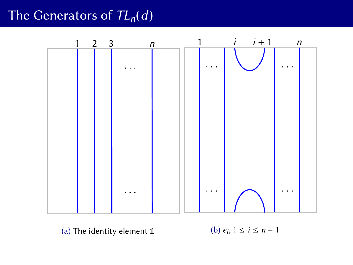# The Generators of  $TL_n(d)$



(a) The identity element **1**

(b)  $e_i, 1 \le i \le n-1$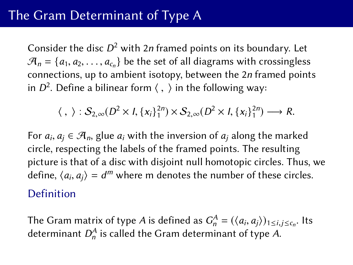Consider the disc  $D^2$  with 2n framed points on its boundary. Let  $\mathcal{A}_n = \{a_1, a_2, \dots, a_{c_n}\}\$  be the set of all diagrams with crossingless connections, un to ambient isotopy between the 2*n* framed point connections, up to ambient isotopy, between the 2n framed points in  $D^2$ . Define a bilinear form  $\langle , \rangle$  in the following way:

$$
\langle , \rangle : S_{2,\infty}(D^2 \times I, \{x_i\}_1^{2n}) \times S_{2,\infty}(D^2 \times I, \{x_i\}_1^{2n}) \longrightarrow R.
$$

For  $a_i, a_j \in \mathcal{A}_n$ , glue  $a_i$  with the inversion of  $a_j$  along the marked circle respecting the labels of the framed points. The resulting circle, respecting the labels of the framed points. The resulting picture is that of a disc with disjoint null homotopic circles. Thus, we define,  $\langle a_i, a_j \rangle = d^m$  where m denotes the number of these circles. Definition

The Gram matrix of type *A* is defined as  $G_n^A = (\langle a_i, a_j \rangle)_{1 \le i,j \le c_n}$ . Its determinant  $\Omega^A$  is called the Gram determinant of type *A* determinant  $D_n^A$  is called the Gram determinant of type A.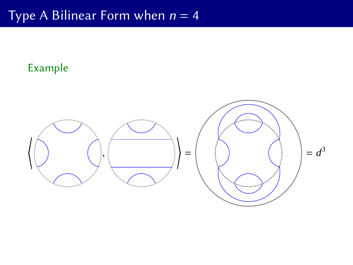# Type A Bilinear Form when  $n = 4$

### Example

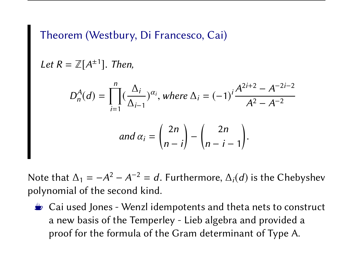### Theorem (Westbury, Di Francesco, Cai)

Let 
$$
R = \mathbb{Z}[A^{\pm 1}]
$$
. Then,

$$
D_n^A(d) = \prod_{i=1}^n (\frac{\Delta_i}{\Delta_{i-1}})^{\alpha_i}, \text{ where } \Delta_i = (-1)^i \frac{A^{2i+2} - A^{-2i-2}}{A^2 - A^{-2}}
$$
  
and  $\alpha_i = \binom{2n}{n-i} - \binom{2n}{n-i-1}.$ 

Note that  $\Delta_1 = -A^2 - A^{-2} = d$ . Furthermore,  $\Delta_i(d)$  is the Chebyshev<br>polynomial of the second kind polynomial of the second kind.

 $\triangle$  Cai used Jones - Wenzl idempotents and theta nets to construct a new basis of the Temperley - Lieb algebra and provided a proof for the formula of the Gram determinant of Type A.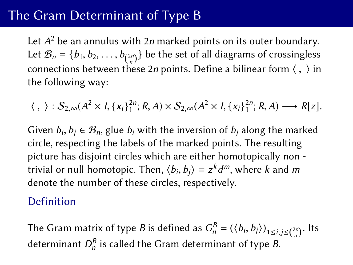# The Gram Determinant of Type B

Let  $A^2$  be an annulus with 2*n* marked points on its outer boundary. Let  $\mathcal{B}_n = \{b_1, b_2, \ldots, b_{\binom{2n}{n}}\}$  be the set of all diagrams of crossingless connections between these 2*n* points. Define a bilinear form  $\langle , \rangle$  in the following way: the following way:

 $\langle , \rangle : S_{2,\infty}(A^2 \times I, \{x_i\}_1^{2n}; R, A) \times S_{2,\infty}(A^2 \times I, \{x_i\}_1^{2n}; R, A) \longrightarrow R[z].$ 

Given  $b_i, b_j \in \mathcal{B}_n$ , glue  $b_i$  with the inversion of  $b_j$  along the marked circle respecting the labels of the marked points. The resulting circle, respecting the labels of the marked points. The resulting picture has disjoint circles which are either homotopically non trivial or null homotopic. Then,  $\langle b_i, b_j \rangle = z^k d^m$ , where k and m<br>denote the number of these circles, respectively. denote the number of these circles, respectively.

#### Definition

The Gram matrix of type *B* is defined as  $G_n^B = (\langle b_i, b_j \rangle)_{1 \le i, j \le {2n \choose n}}$ . Its determinant  $D_n^{\mathcal{B}}$  is called the Gram determinant of type  $\mathcal{B}.$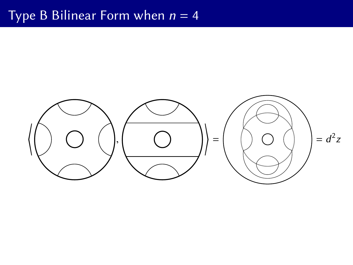# Type B Bilinear Form when  $n = 4$

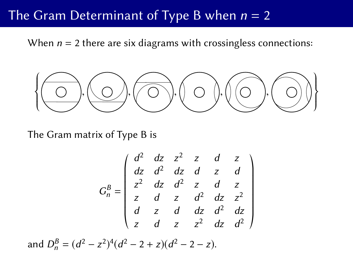### The Gram Determinant of Type B when  $n = 2$

When  $n = 2$  there are six diagrams with crossingless connections:

$$
\left\{\bigodot,\bigodot,\bigodot,\bigodot\right)\cup\bigodot,\bigodot\right\}
$$

The Gram matrix of Type B is

$$
G_n^B = \begin{pmatrix} d^2 & dz & z^2 & z & d & z \\ dz & d^2 & dz & d & z & d \\ z^2 & dz & d^2 & z & d & z \\ z & d & z & d^2 & dz & z^2 \\ d & z & d & dz & d^2 & dz \\ z & d & z & z^2 & dz & d^2 \end{pmatrix}
$$

and  $D_n^B = (d^2 - z^2)^4 (d^2 - 2 + z)(d^2 - 2 - z)$ .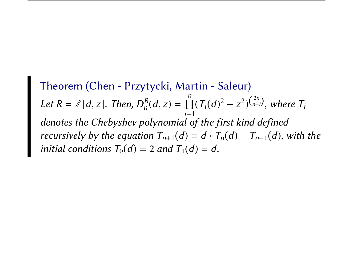Theorem (Chen - Przytycki, Martin - Saleur) Let  $R = \mathbb{Z}[d, z]$ . Then,  $D_n^B(d, z) = \prod_{i=1}^n$  $\prod_{i=1}^{n} (T_i(d)^2 - z^2)^{(\frac{2n}{n-i})}$ , where  $T_i$ denotes the Chebyshev polynomial of the first kind defined recursively by the equation  $T_{n+1}(d) = d \cdot T_n(d) - T_{n-1}(d)$ , with the initial conditions  $T_0(d) = 2$  and  $T_1(d) = d$ .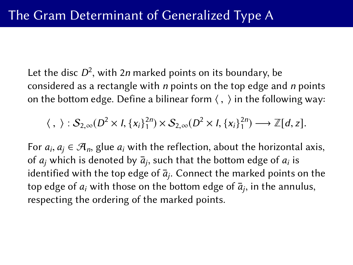Let the disc  $D^2$ , with 2n marked points on its boundary, be considered as a rectangle with  $n$  points on the top edge and  $n$  points on the bottom edge. Define a bilinear form  $\langle , \rangle$  in the following way:

$$
\langle , \rangle : S_{2,\infty}(D^2 \times I, \{x_i\}_1^{2n}) \times S_{2,\infty}(D^2 \times I, \{x_i\}_1^{2n}) \longrightarrow \mathbb{Z}[d, z].
$$

For  $a_i, a_j \in \mathcal{A}_n$ , glue  $a_i$  with the reflection, about the horizontal axis, of a which is denoted by  $\overline{a}$  such that the bottom edge of a is of  $a_j$  which is denoted by  $\bar{a}_j$ , such that the bottom edge of  $a_i$  is identified with the top edge of  $\bar a_j$ . Connect the marked points on the top edge of  $a_i$  with those on the bottom edge of  $\bar a_j$ , in the annulus, respecting the ordering of the marked points.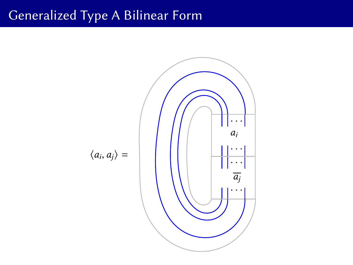## Generalized Type A Bilinear Form

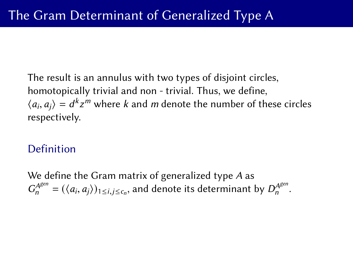The result is an annulus with two types of disjoint circles, homotopically trivial and non - trivial. Thus, we define,  $\langle a_i, a_j \rangle = d^k z^m$  where k and m denote the number of these circles<br>respectively respectively.

### Definition

We define the Gram matrix of generalized type A as  $G_n^{A^{gen}} = (\langle a_i, a_j \rangle)_{1 \le i,j \le c_n}$ , and denote its determinant by  $D_n^{A^{gen}}$  $n^{A^{s^{cn}}}$ .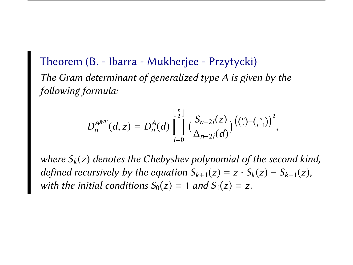Theorem (B. - Ibarra - Mukherjee - Przytycki) The Gram determinant of generalized type A is given by the following formula:

$$
D_n^{A^{gen}}(d, z) = D_n^A(d) \prod_{i=0}^{\lfloor \frac{n}{2} \rfloor} \left( \frac{S_{n-2i}(z)}{\Delta_{n-2i}(d)} \right) \left( {n \choose i} - {n \choose i-1} \right)^2,
$$

where  $S_k(z)$  denotes the Chebyshev polynomial of the second kind, defined recursively by the equation  $S_{k+1}(z) = z \cdot S_k(z) - S_{k-1}(z)$ , with the initial conditions  $S_0(z) = 1$  and  $S_1(z) = z$ .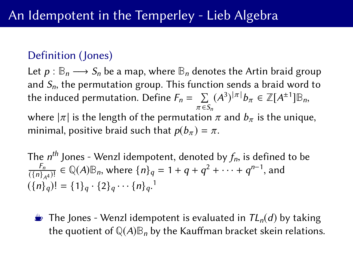### Definition (Jones)

Let  $p : \mathbb{B}_n \longrightarrow S_n$  be a map, where  $\mathbb{B}_n$  denotes the Artin braid group and  $S_n$ , the permutation group. This function sends a braid word to the induced permutation. Define  $F_n = \sum\limits_{\pi \in S_n} (A^3)^{|\pi|} b_{\pi} \in \mathbb{Z}[A^{\pm 1}] \mathbb{B}_n$  $\pi \in S_n$ 

where  $|\pi|$  is the length of the permutation  $\pi$  and  $b_{\pi}$  is the unique, minimal positive braid such that  $p(b) = \pi$ minimal, positive braid such that  $p(b_\pi) = \pi$ .

The *n<sup>th</sup>* Jones - Wenzl idempotent, denoted by  $f_n$ , is defined to be  $\frac{F_n}{f_n} \in \mathbb{O}(4)\mathbb{R}$  where  $\{n\} = 1 + a + a^2 + \cdots + a^{n-1}$  and  $F_n$  $\frac{F_n}{(\{n\}_A)^1} \in \mathbb{Q}(A) \mathbb{B}_n$ , where  $\{n\}_q = 1 + q + q^2 + \cdots + q^{n-1}$ , and  $({n \brace q})! = {1 \brace q \cdot {2 \brace q \cdots {n \brace q}}.$ 

**E** The Jones - Wenzl idempotent is evaluated in  $TL_n(d)$  by taking the quotient of  $\mathbb{Q}(A)\mathbb{B}_n$  by the Kauffman bracket skein relations.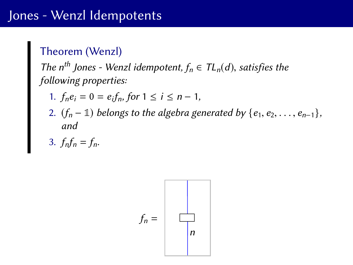### Theorem (Wenzl)

The n<sup>th</sup> Jones - Wenzl idempotent,  $f_n \in TL_n(d)$ , satisfies the following properties:

- 1.  $f_n e_i = 0 = e_i f_n$ , for  $1 \le i \le n 1$ ,
- 2.  $(f_n 1)$  belongs to the algebra generated by  $\{e_1, e_2, \ldots, e_{n-1}\}$ , and

$$
3. \textit{f}_{n}f_{n}=f_{n}.
$$

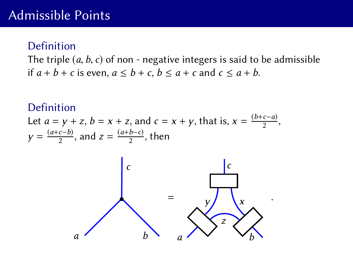#### Definition

The triple  $(a, b, c)$  of non - negative integers is said to be admissible if  $a + b + c$  is even,  $a \leq b + c$ ,  $b \leq a + c$  and  $c \leq a + b$ .

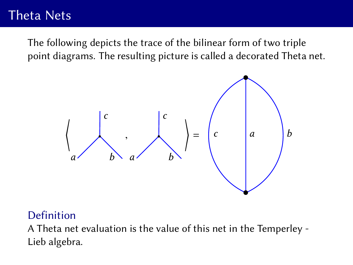# Theta Nets

The following depicts the trace of the bilinear form of two triple point diagrams. The resulting picture is called a decorated Theta net.



#### Definition

A Theta net evaluation is the value of this net in the Temperley - Lieb algebra.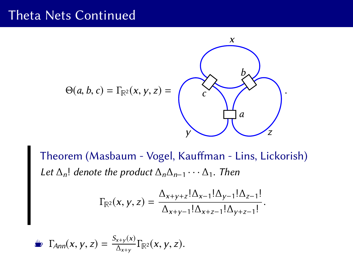## Theta Nets Continued



Theorem (Masbaum - Vogel, Kauffman - Lins, Lickorish) Let  $\Delta_n!$  denote the product  $\Delta_n\Delta_{n-1}\cdots\Delta_1$ . Then

$$
\Gamma_{\mathbb{R}^2}(x, y, z) = \frac{\Delta_{x+y+z}! \Delta_{x-1}! \Delta_{y-1}! \Delta_{z-1}!}{\Delta_{x+y-1}! \Delta_{x+z-1}! \Delta_{y+z-1}!}
$$

$$
\sum_{x}^{\infty} \Gamma_{Ann}(x, y, z) = \frac{S_{x+y}(x)}{\Delta_{x+y}} \Gamma_{\mathbb{R}^2}(x, y, z).
$$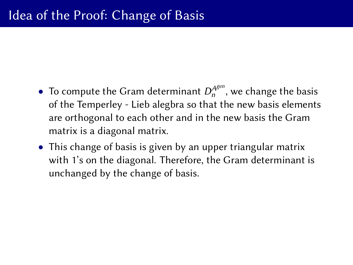- To compute the Gram determinant  $D_n^{A^{\text{gen}}}$  $n^{A^{scn}}$ , we change the basis of the Temperley - Lieb alegbra so that the new basis elements are orthogonal to each other and in the new basis the Gram matrix is a diagonal matrix.
- This change of basis is given by an upper triangular matrix with 1's on the diagonal. Therefore, the Gram determinant is unchanged by the change of basis.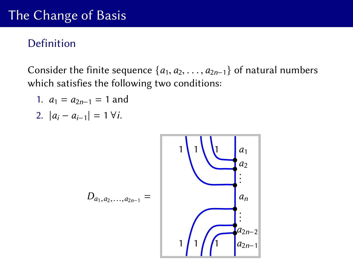# The Change of Basis

### Definition

Consider the finite sequence  $\{a_1, a_2, \ldots, a_{2n-1}\}$  of natural numbers which satisfies the following two conditions:

1. 
$$
a_1 = a_{2n-1} = 1
$$
 and

2. 
$$
|a_i - a_{i-1}| = 1 \,\forall i.
$$

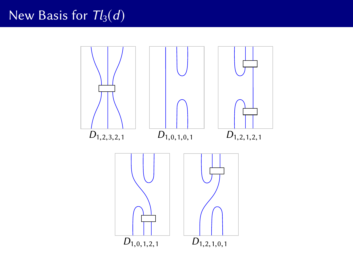# New Basis for  $Tl_3(d)$

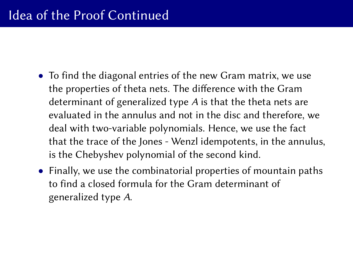- To find the diagonal entries of the new Gram matrix, we use the properties of theta nets. The difference with the Gram determinant of generalized type A is that the theta nets are evaluated in the annulus and not in the disc and therefore, we deal with two-variable polynomials. Hence, we use the fact that the trace of the Jones - Wenzl idempotents, in the annulus, is the Chebyshev polynomial of the second kind.
- Finally, we use the combinatorial properties of mountain paths to find a closed formula for the Gram determinant of generalized type A.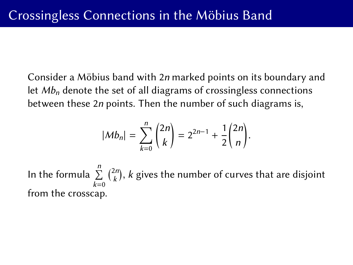Consider a Möbius band with 2*n* marked points on its boundary and let  $Mb<sub>n</sub>$  denote the set of all diagrams of crossingless connections between these 2n points. Then the number of such diagrams is,

$$
|Mb_n| = \sum_{k=0}^n \binom{2n}{k} = 2^{2n-1} + \frac{1}{2}\binom{2n}{n}.
$$

In the formula  $\sum^{n}$  $k=0$  $\binom{2n}{k}$  $\binom{2n}{k}$ , k gives the number of curves that are disjoint from the crosscap.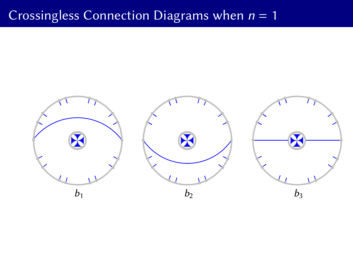# Crossingless Connection Diagrams when  $n = 1$

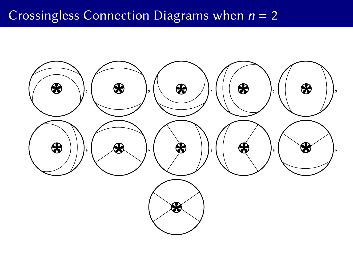# Crossingless Connection Diagrams when  $n = 2$

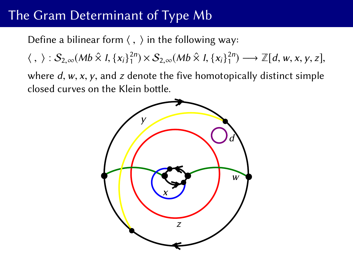# The Gram Determinant of Type Mb

Define a bilinear form  $\langle , \rangle$  in the following way:

 $\langle , \rangle : S_{2,\infty}(Mb \hat{\times} I, \{x_i\}_1^{2n}) \times S_{2,\infty}(Mb \hat{\times} I, \{x_i\}_1^{2n}) \longrightarrow \mathbb{Z}[d, w, x, y, z],$ 

where  $d$ ,  $w$ ,  $x$ ,  $y$ , and  $z$  denote the five homotopically distinct simple closed curves on the Klein bottle.

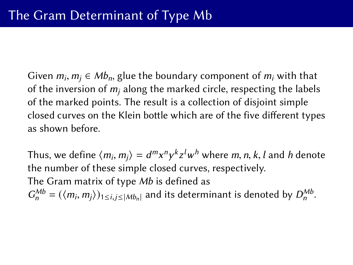Given  $m_i$ ,  $m_j$  ∈ Mb<sub>n</sub>, glue the boundary component of  $m_i$  with that of the inversion of  $m_i$  along the marked circle, respecting the label of the inversion of  $m_i$  along the marked circle, respecting the labels of the marked points. The result is a collection of disjoint simple closed curves on the Klein bottle which are of the five different types as shown before.

Thus, we define  $\langle m_i, m_j \rangle = d^m x^n y^k z^l w^h$  where m, n, k, l and h denote<br>the number of these simple closed curves, respectively the number of these simple closed curves, respectively. The Gram matrix of type Mb is defined as  $G_n^{Mb} = (\langle m_i, m_j \rangle)_{1 \le i, j \le |Mb_n|}$  and its determinant is denoted by  $D_n^{Mb}$ .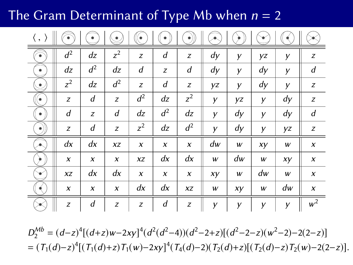The Gram Determinant of Type Mb when  $n = 2$ 

|                          | ริ               | $\bullet$ | ڡ     | (●    | $\bullet$ | $\bullet$    |    |    |    |    |                  |
|--------------------------|------------------|-----------|-------|-------|-----------|--------------|----|----|----|----|------------------|
| ₹                        | $d^2$            | dz        | $z^2$ | Z     | d         | z            | dy | y  | yz | У  | z                |
| $\bullet$                | dz               | $d^2$     | dz    | d     | Z         | d            | dy | У  | dy | y  | d                |
| $\overline{\mathscr{C}}$ | $z^2$            | dz        | $d^2$ | Z     | d         | z            | yz | У  | dy | У  | z                |
| (●                       | Z                | d         | Z     | $d^2$ | dz        | $z^2$        | У  | yz | У  | dy | z                |
| $\bullet$                | d                | z         | d     | dz    | $d^2$     | dz           | y  | dy | y  | dy | d                |
| $\bullet)$               | Z                | d         | Z     | $z^2$ | dz        | $d^2$        | y  | dy | У  | yz | Z                |
| ×.                       | dx               | dx        | XZ    | X     | X         | $\pmb{\chi}$ | dw | w  | xy | w  | $\boldsymbol{x}$ |
| ⋟                        | $\boldsymbol{x}$ | X         | X     | XZ    | dx        | dx           | W  | dw | W  | xy | $\pmb{\chi}$     |
| v                        | XZ               | dx        | dx    | X     | X         | $\pmb{\chi}$ | xy | w  | dw | W  | X                |
| ∢                        | X                | X         | X     | dx    | dx        | XZ           | w  | xy | w  | dw | x                |
|                          | Z                | d         | z     | Z     | d         | z            | y  | y  | y  | y  | $w^2$            |

 $D_2^{Mb} = (d-z)^4[(d+z)w-2xy]^4(d^2(d^2-4))(d^2-2+z)[(d^2-2-z)(w^2-2)-2(2-z)]$ =  $(T_1(d)-z)^4[(T_1(d)+z)T_1(w)-2xy]^4(T_4(d)-2)(T_2(d)+z)[(T_2(d)-z)T_2(w)-2(2-z)].$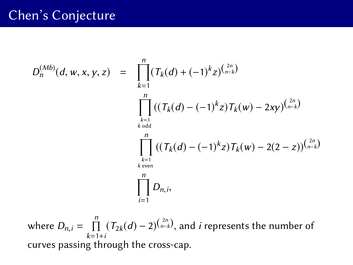## Chen's Conjecture

$$
D_n^{(Mb)}(d, w, x, y, z) = \prod_{k=1}^n (T_k(d) + (-1)^k z)^{\binom{2n}{n-k}}
$$
  

$$
\prod_{\substack{k=1 \ k \text{ odd} \\ k \text{ odd}}}^n ((T_k(d) - (-1)^k z)T_k(w) - 2xy)^{\binom{2n}{n-k}}
$$
  

$$
\prod_{\substack{k=1 \ k \text{ even} \\ k \text{ even}}}^n ((T_k(d) - (-1)^k z)T_k(w) - 2(2 - z))^{\binom{2n}{n-k}}
$$
  

$$
\prod_{i=1}^n D_{n,i},
$$

where  $D_{n,i} = \prod_{k=1+i}^{n} (T_{2k}(d) - 2)^{\binom{2n}{n-k}}$ , and *i* represents the number of  $k=1+i$ curves passing through the cross-cap.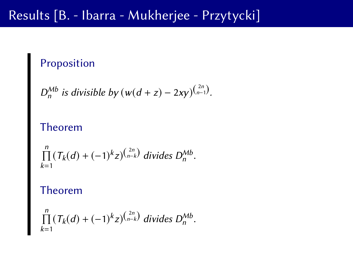## Results [B. - Ibarra - Mukherjee - Przytycki]

## Proposition

$$
D_n^{Mb}
$$
 is divisible by  $(w(d+z) - 2xy)^{\binom{2n}{n-1}}$ .

### Theorem

$$
\prod_{k=1}^n (T_k(d) + (-1)^k z)^{\binom{2n}{n-k}} \text{ divides } D_n^{Mb}.
$$

#### Theorem

$$
\prod_{k=1}^{n} (T_k(d) + (-1)^k z)^{(\frac{2n}{n-k})} \text{ divides } D_n^{Mb}.
$$